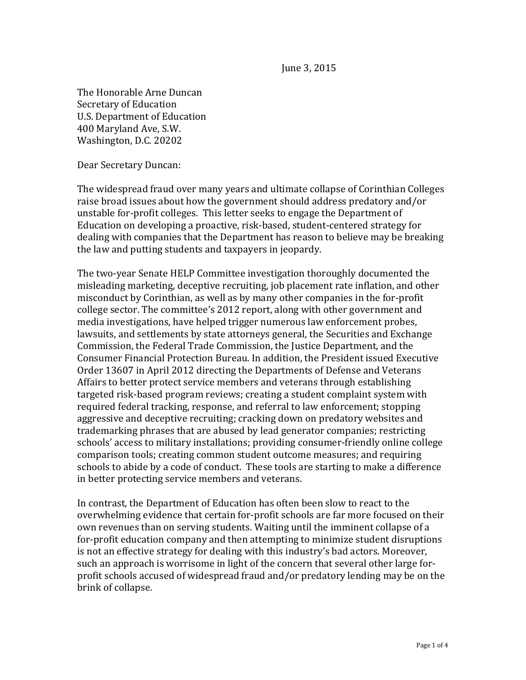June 3, 2015

The Honorable Arne Duncan Secretary of Education U.S. Department of Education 400 Maryland Ave, S.W. Washington, D.C. 20202

Dear Secretary Duncan:

The widespread fraud over many years and ultimate collapse of Corinthian Colleges raise broad issues about how the government should address predatory and/or unstable for-profit colleges. This letter seeks to engage the Department of Education on developing a proactive, risk-based, student-centered strategy for dealing with companies that the Department has reason to believe may be breaking the law and putting students and taxpayers in jeopardy.

The two-year Senate HELP Committee investigation thoroughly documented the misleading marketing, deceptive recruiting, job placement rate inflation, and other misconduct by Corinthian, as well as by many other companies in the for-profit college sector. The committee's 2012 report, along with other government and media investigations, have helped trigger numerous law enforcement probes, lawsuits, and settlements by state attorneys general, the Securities and Exchange Commission, the Federal Trade Commission, the Justice Department, and the Consumer Financial Protection Bureau. In addition, the President issued Executive Order 13607 in April 2012 directing the Departments of Defense and Veterans Affairs to better protect service members and veterans through establishing targeted risk-based program reviews; creating a student complaint system with required federal tracking, response, and referral to law enforcement; stopping aggressive and deceptive recruiting; cracking down on predatory websites and trademarking phrases that are abused by lead generator companies; restricting schools' access to military installations; providing consumer-friendly online college comparison tools; creating common student outcome measures; and requiring schools to abide by a code of conduct. These tools are starting to make a difference in better protecting service members and veterans.

In contrast, the Department of Education has often been slow to react to the overwhelming evidence that certain for-profit schools are far more focused on their own revenues than on serving students. Waiting until the imminent collapse of a for-profit education company and then attempting to minimize student disruptions is not an effective strategy for dealing with this industry's bad actors. Moreover, such an approach is worrisome in light of the concern that several other large forprofit schools accused of widespread fraud and/or predatory lending may be on the brink of collapse.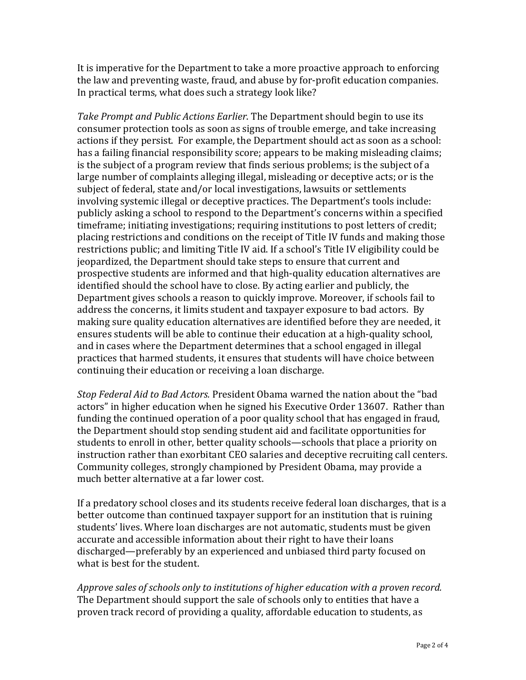It is imperative for the Department to take a more proactive approach to enforcing the law and preventing waste, fraud, and abuse by for-profit education companies. In practical terms, what does such a strategy look like?

*Take Prompt and Public Actions Earlier*. The Department should begin to use its consumer protection tools as soon as signs of trouble emerge, and take increasing actions if they persist. For example, the Department should act as soon as a school: has a failing financial responsibility score; appears to be making misleading claims; is the subject of a program review that finds serious problems; is the subject of a large number of complaints alleging illegal, misleading or deceptive acts; or is the subject of federal, state and/or local investigations, lawsuits or settlements involving systemic illegal or deceptive practices. The Department's tools include: publicly asking a school to respond to the Department's concerns within a specified timeframe; initiating investigations; requiring institutions to post letters of credit; placing restrictions and conditions on the receipt of Title IV funds and making those restrictions public; and limiting Title IV aid. If a school's Title IV eligibility could be jeopardized, the Department should take steps to ensure that current and prospective students are informed and that high-quality education alternatives are identified should the school have to close. By acting earlier and publicly, the Department gives schools a reason to quickly improve. Moreover, if schools fail to address the concerns, it limits student and taxpayer exposure to bad actors. By making sure quality education alternatives are identified before they are needed, it ensures students will be able to continue their education at a high-quality school, and in cases where the Department determines that a school engaged in illegal practices that harmed students, it ensures that students will have choice between continuing their education or receiving a loan discharge.

*Stop Federal Aid to Bad Actors.* President Obama warned the nation about the "bad actors" in higher education when he signed his Executive Order 13607. Rather than funding the continued operation of a poor quality school that has engaged in fraud, the Department should stop sending student aid and facilitate opportunities for students to enroll in other, better quality schools—schools that place a priority on instruction rather than exorbitant CEO salaries and deceptive recruiting call centers. Community colleges, strongly championed by President Obama, may provide a much better alternative at a far lower cost.

If a predatory school closes and its students receive federal loan discharges, that is a better outcome than continued taxpayer support for an institution that is ruining students' lives. Where loan discharges are not automatic, students must be given accurate and accessible information about their right to have their loans discharged—preferably by an experienced and unbiased third party focused on what is best for the student.

*Approve sales of schools only to institutions of higher education with a proven record.* The Department should support the sale of schools only to entities that have a proven track record of providing a quality, affordable education to students, as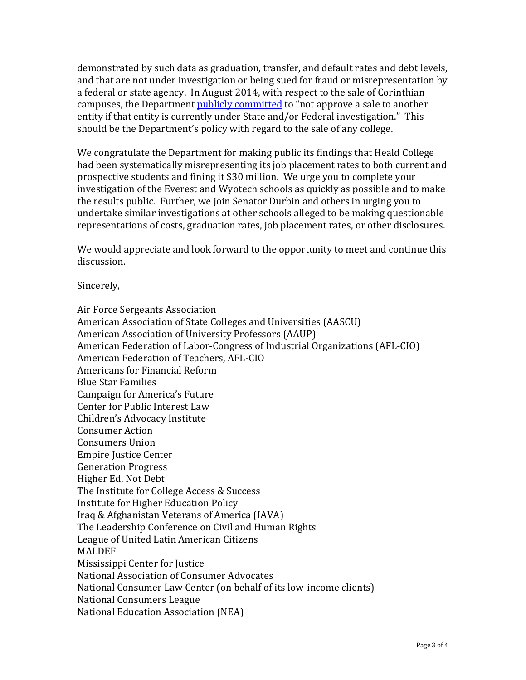demonstrated by such data as graduation, transfer, and default rates and debt levels, and that are not under investigation or being sued for fraud or misrepresentation by a federal or state agency. In August 2014, with respect to the sale of Corinthian campuses, the Department [publicly committed](http://www.huffingtonpost.com/2015/04/28/corinthian-education-department_n_7166562.html) to "not approve a sale to another entity if that entity is currently under State and/or Federal investigation." This should be the Department's policy with regard to the sale of any college.

We congratulate the Department for making public its findings that Heald College had been systematically misrepresenting its job placement rates to both current and prospective students and fining it \$30 million. We urge you to complete your investigation of the Everest and Wyotech schools as quickly as possible and to make the results public. Further, we join Senator Durbin and others in urging you to undertake similar investigations at other schools alleged to be making questionable representations of costs, graduation rates, job placement rates, or other disclosures.

We would appreciate and look forward to the opportunity to meet and continue this discussion.

Sincerely,

Air Force Sergeants Association American Association of State Colleges and Universities (AASCU) American Association of University Professors (AAUP) American Federation of Labor-Congress of Industrial Organizations (AFL-CIO) American Federation of Teachers, AFL-CIO Americans for Financial Reform Blue Star Families Campaign for America's Future Center for Public Interest Law Children's Advocacy Institute Consumer Action Consumers Union Empire Justice Center Generation Progress Higher Ed, Not Debt The Institute for College Access & Success Institute for Higher Education Policy Iraq & Afghanistan Veterans of America (IAVA) The Leadership Conference on Civil and Human Rights League of United Latin American Citizens MALDEF Mississippi Center for Justice National Association of Consumer Advocates National Consumer Law Center (on behalf of its low-income clients) National Consumers League National Education Association (NEA)